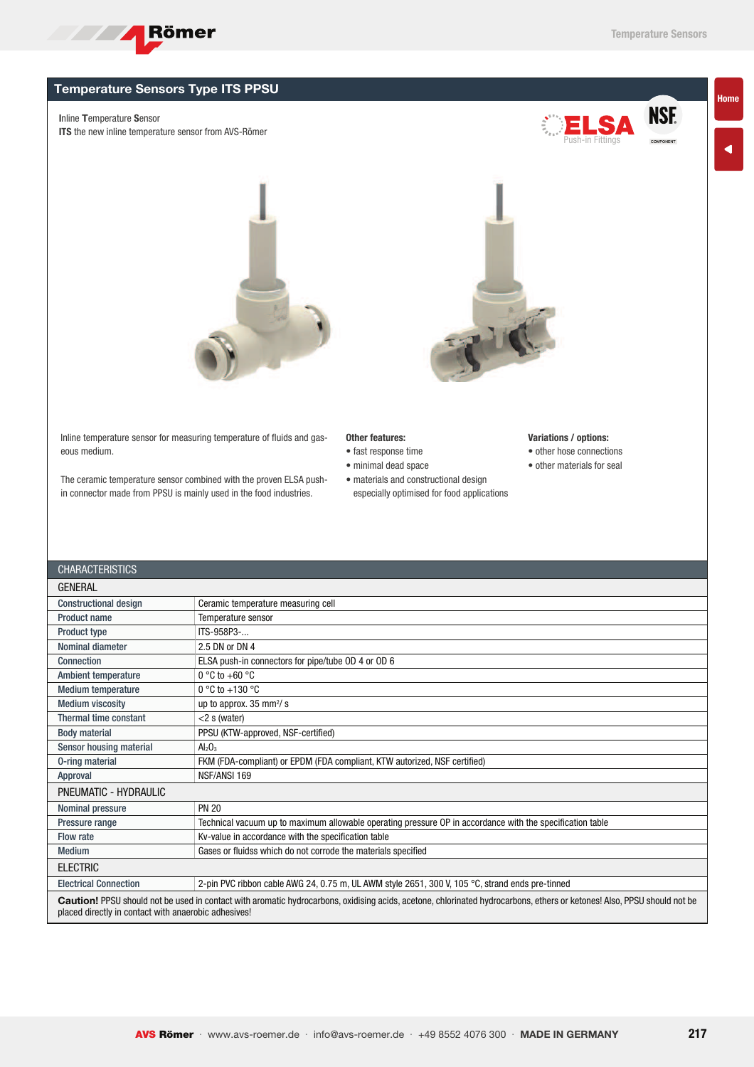

**NSF. COMPONENT** 

Home

## Temperature Sensors Type ITS PPSU

Inline Temperature Sensor

ITS the new inline temperature sensor from AVS-Römer





Inline temperature sensor for measuring temperature of fluids and gaseous medium.

The ceramic temperature sensor combined with the proven ELSA pushin connector made from PPSU is mainly used in the food industries.

## Other features:

- fast response time
- minimal dead space
- materials and constructional design especially optimised for food applications

## Variations / options:

• other hose connections

Push-in Fittings

• other materials for seal

| <b>CHARACTERISTICS</b>                                                                                                                                                                                                          |                                                                                                           |  |  |  |  |  |
|---------------------------------------------------------------------------------------------------------------------------------------------------------------------------------------------------------------------------------|-----------------------------------------------------------------------------------------------------------|--|--|--|--|--|
| <b>GENERAL</b>                                                                                                                                                                                                                  |                                                                                                           |  |  |  |  |  |
| <b>Constructional design</b>                                                                                                                                                                                                    | Ceramic temperature measuring cell                                                                        |  |  |  |  |  |
| Product name                                                                                                                                                                                                                    | Temperature sensor                                                                                        |  |  |  |  |  |
| <b>Product type</b>                                                                                                                                                                                                             | ITS-958P3-                                                                                                |  |  |  |  |  |
| Nominal diameter                                                                                                                                                                                                                | 2.5 DN or DN 4                                                                                            |  |  |  |  |  |
| Connection                                                                                                                                                                                                                      | ELSA push-in connectors for pipe/tube OD 4 or OD 6                                                        |  |  |  |  |  |
| <b>Ambient temperature</b>                                                                                                                                                                                                      | $0^{\circ}$ C to +60 $^{\circ}$ C                                                                         |  |  |  |  |  |
| <b>Medium temperature</b>                                                                                                                                                                                                       | $0^{\circ}$ C to +130 $^{\circ}$ C                                                                        |  |  |  |  |  |
| <b>Medium viscosity</b>                                                                                                                                                                                                         | up to approx. $35 \text{ mm}^2/\text{s}$                                                                  |  |  |  |  |  |
| Thermal time constant                                                                                                                                                                                                           | $<$ 2 s (water)                                                                                           |  |  |  |  |  |
| <b>Body material</b>                                                                                                                                                                                                            | PPSU (KTW-approved, NSF-certified)                                                                        |  |  |  |  |  |
| Sensor housing material                                                                                                                                                                                                         | $Al_2O_3$                                                                                                 |  |  |  |  |  |
| 0-ring material                                                                                                                                                                                                                 | FKM (FDA-compliant) or EPDM (FDA compliant, KTW autorized, NSF certified)                                 |  |  |  |  |  |
| Approval                                                                                                                                                                                                                        | NSF/ANSI 169                                                                                              |  |  |  |  |  |
| PNEUMATIC - HYDRAULIC                                                                                                                                                                                                           |                                                                                                           |  |  |  |  |  |
| Nominal pressure                                                                                                                                                                                                                | <b>PN 20</b>                                                                                              |  |  |  |  |  |
| Pressure range                                                                                                                                                                                                                  | Technical vacuum up to maximum allowable operating pressure OP in accordance with the specification table |  |  |  |  |  |
| Flow rate                                                                                                                                                                                                                       | Kv-value in accordance with the specification table                                                       |  |  |  |  |  |
| <b>Medium</b>                                                                                                                                                                                                                   | Gases or fluidss which do not corrode the materials specified                                             |  |  |  |  |  |
| <b>ELECTRIC</b>                                                                                                                                                                                                                 |                                                                                                           |  |  |  |  |  |
| <b>Electrical Connection</b>                                                                                                                                                                                                    | 2-pin PVC ribbon cable AWG 24, 0.75 m, UL AWM style 2651, 300 V, 105 °C, strand ends pre-tinned           |  |  |  |  |  |
| Caution! PPSU should not be used in contact with aromatic hydrocarbons, oxidising acids, acetone, chlorinated hydrocarbons, ethers or ketones! Also, PPSU should not be<br>placed directly in contact with anaerobic adhesives! |                                                                                                           |  |  |  |  |  |